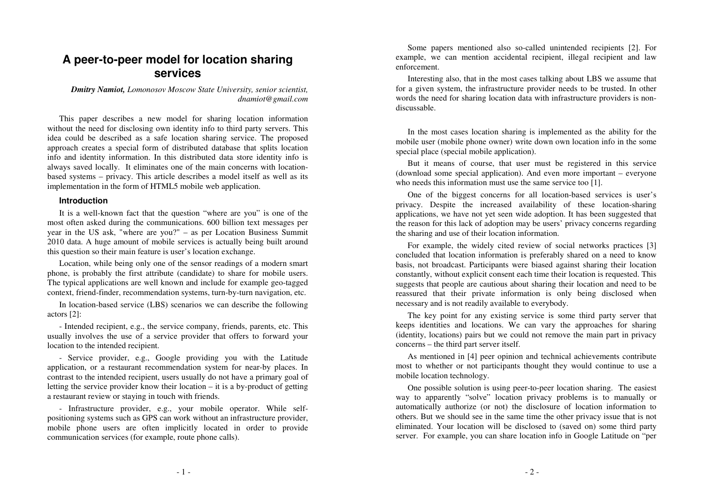# **A peer-to-peer model for location sharing services**

*Dmitry Namiot, Lomonosov Moscow State University, senior scientist, dnamiot@gmail.com* 

This paper describes a new model for sharing location information without the need for disclosing own identity info to third party servers. This idea could be described as a safe location sharing service. The proposed approach creates a special form of distributed database that splits location info and identity information. In this distributed data store identity info is always saved locally. It eliminates one of the main concerns with locationbased systems – privacy. This article describes a model itself as well as its implementation in the form of HTML5 mobile web application.

#### **Introduction**

It is a well-known fact that the question "where are you" is one of the most often asked during the communications. 600 billion text messages per year in the US ask, "where are you?" – as per Location Business Summit 2010 data. A huge amount of mobile services is actually being built around this question so their main feature is user's location exchange.

Location, while being only one of the sensor readings of a modern smart phone, is probably the first attribute (candidate) to share for mobile users. The typical applications are well known and include for example geo-tagged context, friend-finder, recommendation systems, turn-by-turn navigation, etc.

In location-based service (LBS) scenarios we can describe the following actors [2]:

- Intended recipient, e.g., the service company, friends, parents, etc. This usually involves the use of a service provider that offers to forward your location to the intended recipient.

- Service provider, e.g., Google providing you with the Latitude application, or a restaurant recommendation system for near-by places. In contrast to the intended recipient, users usually do not have a primary goal of letting the service provider know their location – it is a by-product of getting a restaurant review or staying in touch with friends.

- Infrastructure provider, e.g., your mobile operator. While selfpositioning systems such as GPS can work without an infrastructure provider, mobile phone users are often implicitly located in order to provide communication services (for example, route phone calls).

Some papers mentioned also so-called unintended recipients [2]. For example, we can mention accidental recipient, illegal recipient and law enforcement.

Interesting also, that in the most cases talking about LBS we assume that for a given system, the infrastructure provider needs to be trusted. In other words the need for sharing location data with infrastructure providers is nondiscussable.

In the most cases location sharing is implemented as the ability for the mobile user (mobile phone owner) write down own location info in the some special place (special mobile application).

But it means of course, that user must be registered in this service (download some special application). And even more important – everyone who needs this information must use the same service too [1].

One of the biggest concerns for all location-based services is user's privacy. Despite the increased availability of these location-sharing applications, we have not yet seen wide adoption. It has been suggested that the reason for this lack of adoption may be users' privacy concerns regarding the sharing and use of their location information.

For example, the widely cited review of social networks practices [3] concluded that location information is preferably shared on a need to know basis, not broadcast. Participants were biased against sharing their location constantly, without explicit consent each time their location is requested. This suggests that people are cautious about sharing their location and need to be reassured that their private information is only being disclosed when necessary and is not readily available to everybody.

The key point for any existing service is some third party server that keeps identities and locations. We can vary the approaches for sharing (identity, locations) pairs but we could not remove the main part in privacy concerns – the third part server itself.

As mentioned in [4] peer opinion and technical achievements contribute most to whether or not participants thought they would continue to use a mobile location technology.

One possible solution is using peer-to-peer location sharing. The easiest way to apparently "solve" location privacy problems is to manually or automatically authorize (or not) the disclosure of location information to others. But we should see in the same time the other privacy issue that is not eliminated. Your location will be disclosed to (saved on) some third party server. For example, you can share location info in Google Latitude on "per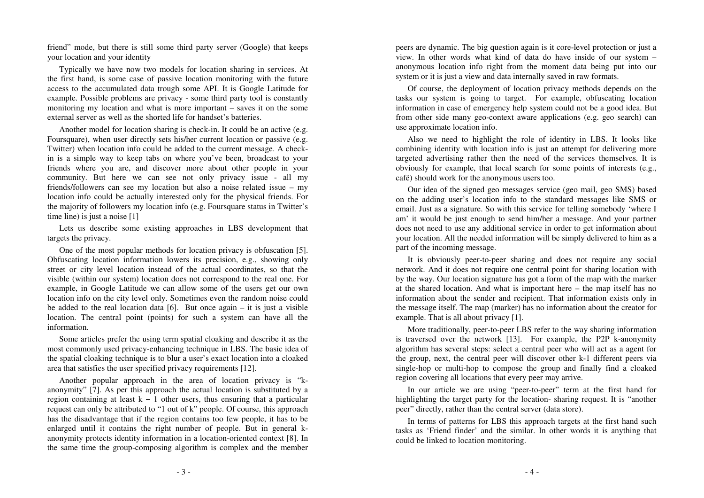friend" mode, but there is still some third party server (Google) that keeps your location and your identity

Typically we have now two models for location sharing in services. At the first hand, is some case of passive location monitoring with the future access to the accumulated data trough some API. It is Google Latitude for example. Possible problems are privacy - some third party tool is constantly monitoring my location and what is more important – saves it on the some external server as well as the shorted life for handset's batteries.

Another model for location sharing is check-in. It could be an active (e.g. Foursquare), when user directly sets his/her current location or passive (e.g. Twitter) when location info could be added to the current message. A checkin is a simple way to keep tabs on where you've been, broadcast to your friends where you are, and discover more about other people in your community. But here we can see not only privacy issue - all my friends/followers can see my location but also a noise related issue – my location info could be actually interested only for the physical friends. For the majority of followers my location info (e.g. Foursquare status in Twitter's time line) is just a noise [1]

Lets us describe some existing approaches in LBS development that targets the privacy.

One of the most popular methods for location privacy is obfuscation [5]. Obfuscating location information lowers its precision, e.g., showing only street or city level location instead of the actual coordinates, so that the visible (within our system) location does not correspond to the real one. For example, in Google Latitude we can allow some of the users get our own location info on the city level only. Sometimes even the random noise could be added to the real location data [6]. But once again – it is just a visible location. The central point (points) for such a system can have all the information.

Some articles prefer the using term spatial cloaking and describe it as the most commonly used privacy-enhancing technique in LBS. The basic idea of the spatial cloaking technique is to blur a user's exact location into a cloaked area that satisfies the user specified privacy requirements [12].

Another popular approach in the area of location privacy is "kanonymity" [7]. As per this approach the actual location is substituted by a region containing at least  $k - 1$  other users, thus ensuring that a particular request can only be attributed to "1 out of k" people. Of course, this approach has the disadvantage that if the region contains too few people, it has to be enlarged until it contains the right number of people. But in general kanonymity protects identity information in a location-oriented context [8]. In the same time the group-composing algorithm is complex and the member

peers are dynamic. The big question again is it core-level protection or just a view. In other words what kind of data do have inside of our system – anonymous location info right from the moment data being put into our system or it is just a view and data internally saved in raw formats.

Of course, the deployment of location privacy methods depends on the tasks our system is going to target. For example, obfuscating location information in case of emergency help system could not be a good idea. But from other side many geo-context aware applications (e.g. geo search) can use approximate location info.

Also we need to highlight the role of identity in LBS. It looks like combining identity with location info is just an attempt for delivering more targeted advertising rather then the need of the services themselves. It is obviously for example, that local search for some points of interests (e.g., café) should work for the anonymous users too.

Our idea of the signed geo messages service (geo mail, geo SMS) based on the adding user's location info to the standard messages like SMS or email. Just as a signature. So with this service for telling somebody 'where I am' it would be just enough to send him/her a message. And your partner does not need to use any additional service in order to get information about your location. All the needed information will be simply delivered to him as a part of the incoming message.

It is obviously peer-to-peer sharing and does not require any social network. And it does not require one central point for sharing location with by the way. Our location signature has got a form of the map with the marker at the shared location. And what is important here – the map itself has no information about the sender and recipient. That information exists only in the message itself. The map (marker) has no information about the creator for example. That is all about privacy [1].

More traditionally, peer-to-peer LBS refer to the way sharing information is traversed over the network [13]. For example, the P2P k-anonymity algorithm has several steps: select a central peer who will act as a agent for the group, next, the central peer will discover other k-1 different peers via single-hop or multi-hop to compose the group and finally find a cloaked region covering all locations that every peer may arrive.

In our article we are using "peer-to-peer" term at the first hand for highlighting the target party for the location- sharing request. It is "another peer" directly, rather than the central server (data store).

In terms of patterns for LBS this approach targets at the first hand such tasks as 'Friend finder' and the similar. In other words it is anything that could be linked to location monitoring.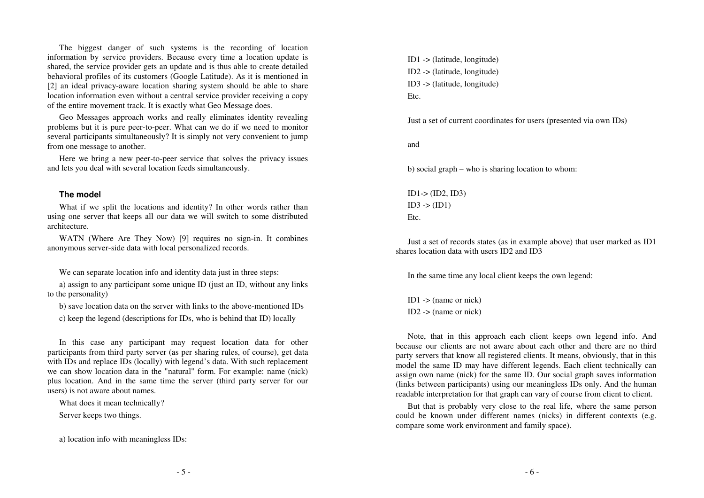The biggest danger of such systems is the recording of location information by service providers. Because every time a location update is shared, the service provider gets an update and is thus able to create detailed behavioral profiles of its customers (Google Latitude). As it is mentioned in [2] an ideal privacy-aware location sharing system should be able to share location information even without a central service provider receiving a copy of the entire movement track. It is exactly what Geo Message does.

Geo Messages approach works and really eliminates identity revealing problems but it is pure peer-to-peer. What can we do if we need to monitor several participants simultaneously? It is simply not very convenient to jump from one message to another.

Here we bring a new peer-to-peer service that solves the privacy issues and lets you deal with several location feeds simultaneously.

#### **The model**

What if we split the locations and identity? In other words rather than using one server that keeps all our data we will switch to some distributed architecture.

WATN (Where Are They Now) [9] requires no sign-in. It combines anonymous server-side data with local personalized records.

We can separate location info and identity data just in three steps:

a) assign to any participant some unique ID (just an ID, without any links to the personality)

b) save location data on the server with links to the above-mentioned IDs c) keep the legend (descriptions for IDs, who is behind that ID) locally

In this case any participant may request location data for other participants from third party server (as per sharing rules, of course), get data with IDs and replace IDs (locally) with legend's data. With such replacement we can show location data in the "natural" form. For example: name (nick) plus location. And in the same time the server (third party server for our users) is not aware about names.

What does it mean technically?

Server keeps two things.

a) location info with meaningless IDs:

ID1 -> (latitude, longitude) ID2 -> (latitude, longitude) ID3 -> (latitude, longitude) Etc.

Just a set of current coordinates for users (presented via own IDs)

and

b) social graph – who is sharing location to whom:

ID1-> (ID2, ID3)  $ID3 \rightarrow (ID1)$ Etc.

Just a set of records states (as in example above) that user marked as ID1 shares location data with users ID2 and ID3

In the same time any local client keeps the own legend:

ID1 -> (name or nick) ID2 -> (name or nick)

Note, that in this approach each client keeps own legend info. And because our clients are not aware about each other and there are no third party servers that know all registered clients. It means, obviously, that in this model the same ID may have different legends. Each client technically can assign own name (nick) for the same ID. Our social graph saves information (links between participants) using our meaningless IDs only. And the human readable interpretation for that graph can vary of course from client to client.

But that is probably very close to the real life, where the same person could be known under different names (nicks) in different contexts (e.g. compare some work environment and family space).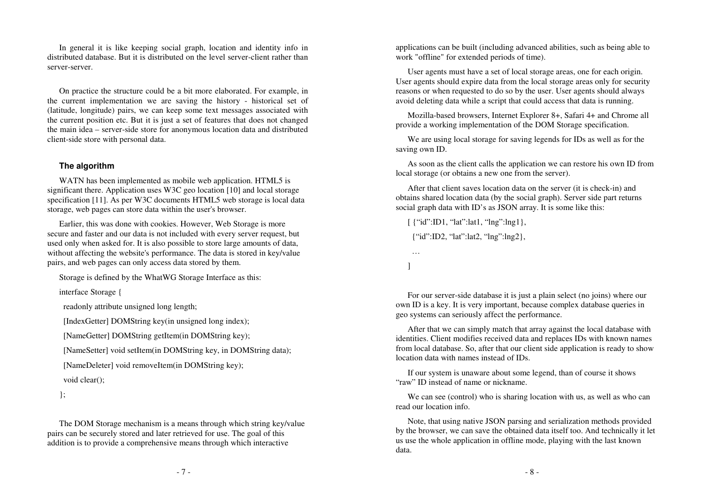In general it is like keeping social graph, location and identity info in distributed database. But it is distributed on the level server-client rather than server-server.

On practice the structure could be a bit more elaborated. For example, in the current implementation we are saving the history - historical set of (latitude, longitude) pairs, we can keep some text messages associated with the current position etc. But it is just a set of features that does not changed the main idea – server-side store for anonymous location data and distributed client-side store with personal data.

## **The algorithm**

WATN has been implemented as mobile web application. HTML5 is significant there. Application uses W3C geo location [10] and local storage specification [11]. As per W3C documents HTML5 web storage is local data storage, web pages can store data within the user's browser.

Earlier, this was done with cookies. However, Web Storage is more secure and faster and our data is not included with every server request, but used only when asked for. It is also possible to store large amounts of data, without affecting the website's performance. The data is stored in key/value pairs, and web pages can only access data stored by them.

Storage is defined by the WhatWG Storage Interface as this:

interface Storage {

readonly attribute unsigned long length;

[IndexGetter] DOMString key(in unsigned long index);

[NameGetter] DOMString getItem(in DOMString key);

[NameSetter] void setItem(in DOMString key, in DOMString data);

[NameDeleter] void removeItem(in DOMString key);

void clear();

};

The DOM Storage mechanism is a means through which string key/value pairs can be securely stored and later retrieved for use. The goal of this addition is to provide a comprehensive means through which interactive

applications can be built (including advanced abilities, such as being able to work "offline" for extended periods of time).

User agents must have a set of local storage areas, one for each origin. User agents should expire data from the local storage areas only for security reasons or when requested to do so by the user. User agents should always avoid deleting data while a script that could access that data is running.

Mozilla-based browsers, Internet Explorer 8+, Safari 4+ and Chrome all provide a working implementation of the DOM Storage specification.

We are using local storage for saving legends for IDs as well as for the saving own ID.

As soon as the client calls the application we can restore his own ID from local storage (or obtains a new one from the server).

After that client saves location data on the server (it is check-in) and obtains shared location data (by the social graph). Server side part returns social graph data with ID's as JSON array. It is some like this:

[ {"id":ID1, "lat":lat1, "lng":lng1},

{"id":ID2, "lat":lat2, "lng":lng2},

…

 $\bf{l}$ 

For our server-side database it is just a plain select (no joins) where our own ID is a key. It is very important, because complex database queries in geo systems can seriously affect the performance.

After that we can simply match that array against the local database with identities. Client modifies received data and replaces IDs with known names from local database. So, after that our client side application is ready to show location data with names instead of IDs.

If our system is unaware about some legend, than of course it shows "raw" ID instead of name or nickname.

We can see (control) who is sharing location with us, as well as who can read our location info.

Note, that using native JSON parsing and serialization methods provided by the browser, we can save the obtained data itself too. And technically it let us use the whole application in offline mode, playing with the last known data.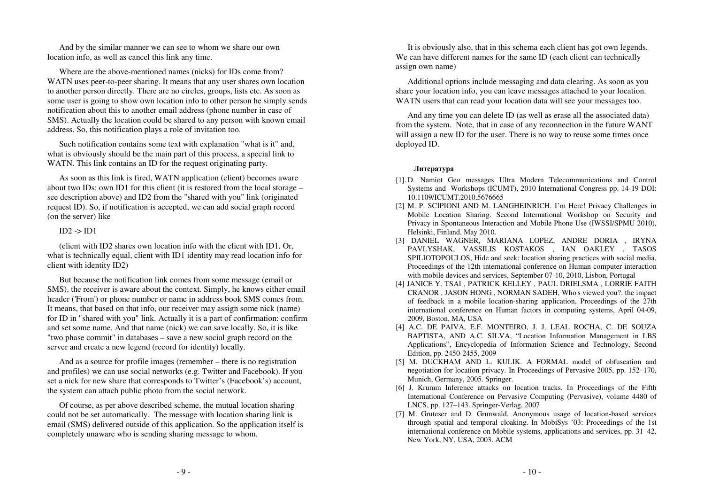And by the similar manner we can see to whom we share our own location info, as well as cancel this link any time.

Where are the above-mentioned names (nicks) for IDs come from? WATN uses peer-to-peer sharing. It means that any user shares own location to another person directly. There are no circles, groups, lists etc. As soon as some user is going to show own location info to other person he simply sends notification about this to another email address (phone number in case of SMS). Actually the location could be shared to any person with known email address. So, this notification plays a role of invitation too.

Such notification contains some text with explanation "what is it" and, what is obviously should be the main part of this process, a special link to WATN. This link contains an ID for the request originating party.

As soon as this link is fired, WATN application (client) becomes aware about two IDs: own ID1 for this client (it is restored from the local storage – see description above) and ID2 from the "shared with you" link (originated request ID). So, if notification is accepted, we can add social graph record (on the server) like

### $ID2 \rightarrow ID1$

(client with ID2 shares own location info with the client with ID1. Or, what is technically equal, client with ID1 identity may read location info for client with identity ID2)

But because the notification link comes from some message (email or SMS), the receiver is aware about the context. Simply, he knows either email header ('From') or phone number or name in address book SMS comes from. It means, that based on that info, our receiver may assign some nick (name) for ID in "shared with you" link. Actually it is a part of confirmation: confirm and set some name. And that name (nick) we can save locally. So, it is like "two phase commit" in databases – save a new social graph record on the server and create a new legend (record for identity) locally.

And as a source for profile images (remember – there is no registration and profiles) we can use social networks (e.g. Twitter and Facebook). If you set a nick for new share that corresponds to Twitter's (Facebook's) account, the system can attach public photo from the social network.

Of course, as per above described scheme, the mutual location sharing could not be set automatically. The message with location sharing link is email (SMS) delivered outside of this application. So the application itself is completely unaware who is sending sharing message to whom.

It is obviously also, that in this schema each client has got own legends. We can have different names for the same ID (each client can technically assign own name)

Additional options include messaging and data clearing. As soon as you share your location info, you can leave messages attached to your location. WATN users that can read your location data will see your messages too.

And any time you can delete ID (as well as erase all the associated data) from the system. Note, that in case of any reconnection in the future WANT will assign a new ID for the user. There is no way to reuse some times once deployed ID.

## Литература

- [1]. D. Namiot Geo messages Ultra Modern Telecommunications and Control Systems and Workshops (ICUMT), 2010 International Congress pp. 14-19 DOI: 10.1109/ICUMT.2010.5676665
- [2] M. P. SCIPIONI AND M. LANGHEINRICH. I'm Here! Privacy Challenges in Mobile Location Sharing. Second International Workshop on Security and Privacy in Spontaneous Interaction and Mobile Phone Use (IWSSI/SPMU 2010), Helsinki, Finland, May 2010.
- [3] DANIEL WAGNER, MARIANA LOPEZ, ANDRE DORIA , IRYNA PAVLYSHAK, VASSILIS KOSTAKOS , IAN OAKLEY , TASOS SPILIOTOPOULOS, Hide and seek: location sharing practices with social media, Proceedings of the 12th international conference on Human computer interaction with mobile devices and services, September 07-10, 2010, Lisbon, Portugal
- [4] JANICE Y. TSAI , PATRICK KELLEY , PAUL DRIELSMA , LORRIE FAITH CRANOR , JASON HONG , NORMAN SADEH, Who's viewed you?: the impact of feedback in a mobile location-sharing application, Proceedings of the 27th international conference on Human factors in computing systems, April 04-09, 2009, Boston, MA, USA
- [4] A.C. DE PAIVA, E.F. MONTEIRO, J. J. LEAL ROCHA, C. DE SOUZA BAPTISTA, AND A.C. SILVA, "Location Information Management in LBS Applications", Encyclopedia of Information Science and Technology, Second Edition, pp. 2450-2455, 2009
- [5] M. DUCKHAM AND L. KULIK. A FORMAL model of obfuscation and negotiation for location privacy. In Proceedings of Pervasive 2005, pp. 152–170, Munich, Germany, 2005. Springer.
- [6] J. Krumm Inference attacks on location tracks. In Proceedings of the Fifth International Conference on Pervasive Computing (Pervasive), volume 4480 of LNCS, pp. 127–143. Springer-Verlag, 2007
- [7] M. Gruteser and D. Grunwald. Anonymous usage of location-based services through spatial and temporal cloaking. In MobiSys '03: Proceedings of the 1st international conference on Mobile systems, applications and services, pp. 31–42, New York, NY, USA, 2003. ACM